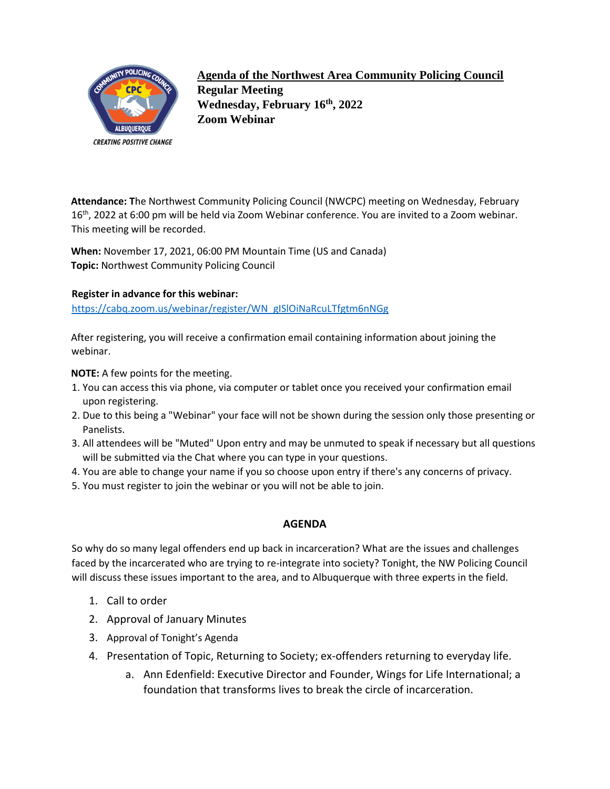

**Agenda of the Northwest Area Community Policing Council Regular Meeting Wednesday, February 16th, 2022 Zoom Webinar** 

**Attendance: T**he Northwest Community Policing Council (NWCPC) meeting on Wednesday, February 16<sup>th</sup>, 2022 at 6:00 pm will be held via Zoom Webinar conference. You are invited to a Zoom webinar. This meeting will be recorded.

**When:** November 17, 2021, 06:00 PM Mountain Time (US and Canada) **Topic:** Northwest Community Policing Council

## **Register in advance for this webinar:**

[https://cabq.zoom.us/webinar/register/WN\\_gISlOiNaRcuLTfgtm6nNGg](https://cabq.zoom.us/webinar/register/WN_gISlOiNaRcuLTfgtm6nNGg)

After registering, you will receive a confirmation email containing information about joining the webinar.

**NOTE:** A few points for the meeting.

- 1. You can access this via phone, via computer or tablet once you received your confirmation email upon registering.
- 2. Due to this being a "Webinar" your face will not be shown during the session only those presenting or Panelists.
- 3. All attendees will be "Muted" Upon entry and may be unmuted to speak if necessary but all questions will be submitted via the Chat where you can type in your questions.
- 4. You are able to change your name if you so choose upon entry if there's any concerns of privacy.
- 5. You must register to join the webinar or you will not be able to join.

## **AGENDA**

So why do so many legal offenders end up back in incarceration? What are the issues and challenges faced by the incarcerated who are trying to re-integrate into society? Tonight, the NW Policing Council will discuss these issues important to the area, and to Albuquerque with three experts in the field.

- 1. Call to order
- 2. Approval of January Minutes
- 3. Approval of Tonight's Agenda
- 4. Presentation of Topic, Returning to Society; ex-offenders returning to everyday life.
	- a. Ann Edenfield: Executive Director and Founder, Wings for Life International; a foundation that transforms lives to break the circle of incarceration.